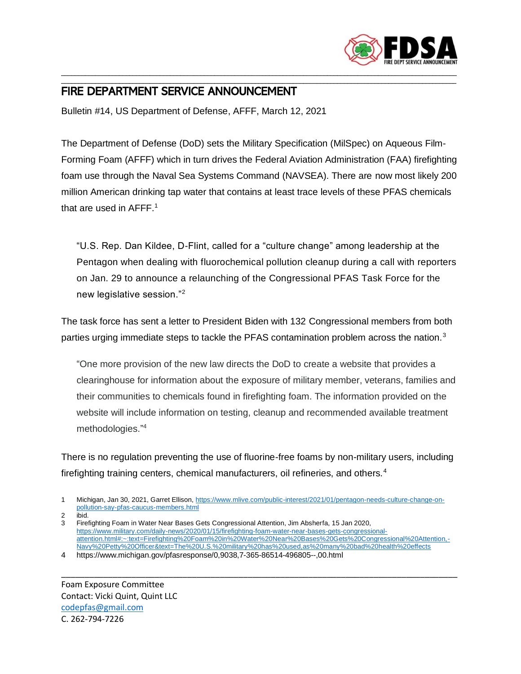

## \_\_\_\_\_\_\_\_\_\_\_\_\_\_\_\_\_\_\_\_\_\_\_\_\_\_\_\_\_\_\_\_\_\_\_\_\_\_\_\_\_\_\_\_\_\_\_\_\_\_\_\_\_\_\_\_\_\_\_\_\_\_\_\_\_\_\_\_\_\_\_\_\_\_\_\_\_\_\_\_\_\_\_\_\_\_\_\_\_\_\_\_\_\_\_\_\_\_\_\_\_\_\_\_\_\_\_\_\_\_\_\_\_\_\_\_ FIRE DEPARTMENT SERVICE ANNOUNCEMENT

Bulletin #14, US Department of Defense, AFFF, March 12, 2021

The Department of Defense (DoD) sets the Military Specification (MilSpec) on Aqueous Film-Forming Foam (AFFF) which in turn drives the Federal Aviation Administration (FAA) firefighting foam use through the Naval Sea Systems Command (NAVSEA). There are now most likely 200 million American drinking tap water that contains at least trace levels of these PFAS chemicals that are used in AFFF.<sup>1</sup>

\_\_\_\_\_\_\_\_\_\_\_\_\_\_\_\_\_\_\_\_\_\_\_\_\_\_\_\_\_\_\_\_\_\_\_\_\_\_\_\_\_\_\_\_\_\_\_\_\_\_\_\_\_\_\_\_\_\_\_\_\_\_\_\_\_\_\_\_\_\_\_\_\_\_\_\_\_\_\_\_\_\_\_\_\_\_\_\_\_\_\_\_\_\_\_\_\_\_\_\_\_\_\_\_\_\_\_\_\_\_\_\_\_\_\_\_

"U.S. Rep. Dan Kildee, D-Flint, called for a "culture change" among leadership at the Pentagon when dealing with fluorochemical pollution cleanup during a call with reporters on Jan. 29 to announce a relaunching of the Congressional PFAS Task Force for the new legislative session."<sup>2</sup>

The task force has sent a letter to President Biden with 132 Congressional members from both parties urging immediate steps to tackle the PFAS contamination problem across the nation.<sup>3</sup>

"One more provision of the new law directs the DoD to create a website that provides a clearinghouse for information about the exposure of military member, veterans, families and their communities to chemicals found in firefighting foam. The information provided on the website will include information on testing, cleanup and recommended available treatment methodologies." 4

There is no regulation preventing the use of fluorine-free foams by non-military users, including firefighting training centers, chemical manufacturers, oil refineries, and others.<sup>4</sup>

- 2 ibid.
- 3 Firefighting Foam in Water Near Bases Gets Congressional Attention, Jim Absherfa, 15 Jan 2020, [https://www.military.com/daily-news/2020/01/15/firefighting-foam-water-near-bases-gets-congressional](https://www.military.com/daily-news/2020/01/15/firefighting-foam-water-near-bases-gets-congressional-attention.html#:~:text=Firefighting%20Foam%20in%20Water%20Near%20Bases%20Gets%20Congressional%20Attention,-Navy%20Petty%20Officer&text=The%20U.S.%20military%20has%20used,as%20many%20bad%20health%20effects)[attention.html#:~:text=Firefighting%20Foam%20in%20Water%20Near%20Bases%20Gets%20Congressional%20Attention,-](https://www.military.com/daily-news/2020/01/15/firefighting-foam-water-near-bases-gets-congressional-attention.html#:~:text=Firefighting%20Foam%20in%20Water%20Near%20Bases%20Gets%20Congressional%20Attention,-Navy%20Petty%20Officer&text=The%20U.S.%20military%20has%20used,as%20many%20bad%20health%20effects) [Navy%20Petty%20Officer&text=The%20U.S.%20military%20has%20used,as%20many%20bad%20health%20effects](https://www.military.com/daily-news/2020/01/15/firefighting-foam-water-near-bases-gets-congressional-attention.html#:~:text=Firefighting%20Foam%20in%20Water%20Near%20Bases%20Gets%20Congressional%20Attention,-Navy%20Petty%20Officer&text=The%20U.S.%20military%20has%20used,as%20many%20bad%20health%20effects)

\_\_\_\_\_\_\_\_\_\_\_\_\_\_\_\_\_\_\_\_\_\_\_\_\_\_\_\_\_\_\_\_\_\_\_\_\_\_\_\_\_\_\_\_\_\_\_\_\_\_\_\_\_\_\_\_\_\_\_\_\_\_\_\_\_\_\_\_\_\_\_\_\_\_\_\_\_\_\_\_\_\_\_\_\_

4 https://www.michigan.gov/pfasresponse/0,9038,7-365-86514-496805--,00.html

Foam Exposure Committee Contact: Vicki Quint, Quint LLC [codepfas@gmail.com](mailto:codepfas@gmail.com) C. 262-794-7226

<sup>1</sup> Michigan, Jan 30, 2021, Garret Ellison, [https://www.mlive.com/public-interest/2021/01/pentagon-needs-culture-change-on](https://www.mlive.com/public-interest/2021/01/pentagon-needs-culture-change-on-pollution-say-pfas-caucus-members.html)[pollution-say-pfas-caucus-members.html](https://www.mlive.com/public-interest/2021/01/pentagon-needs-culture-change-on-pollution-say-pfas-caucus-members.html)